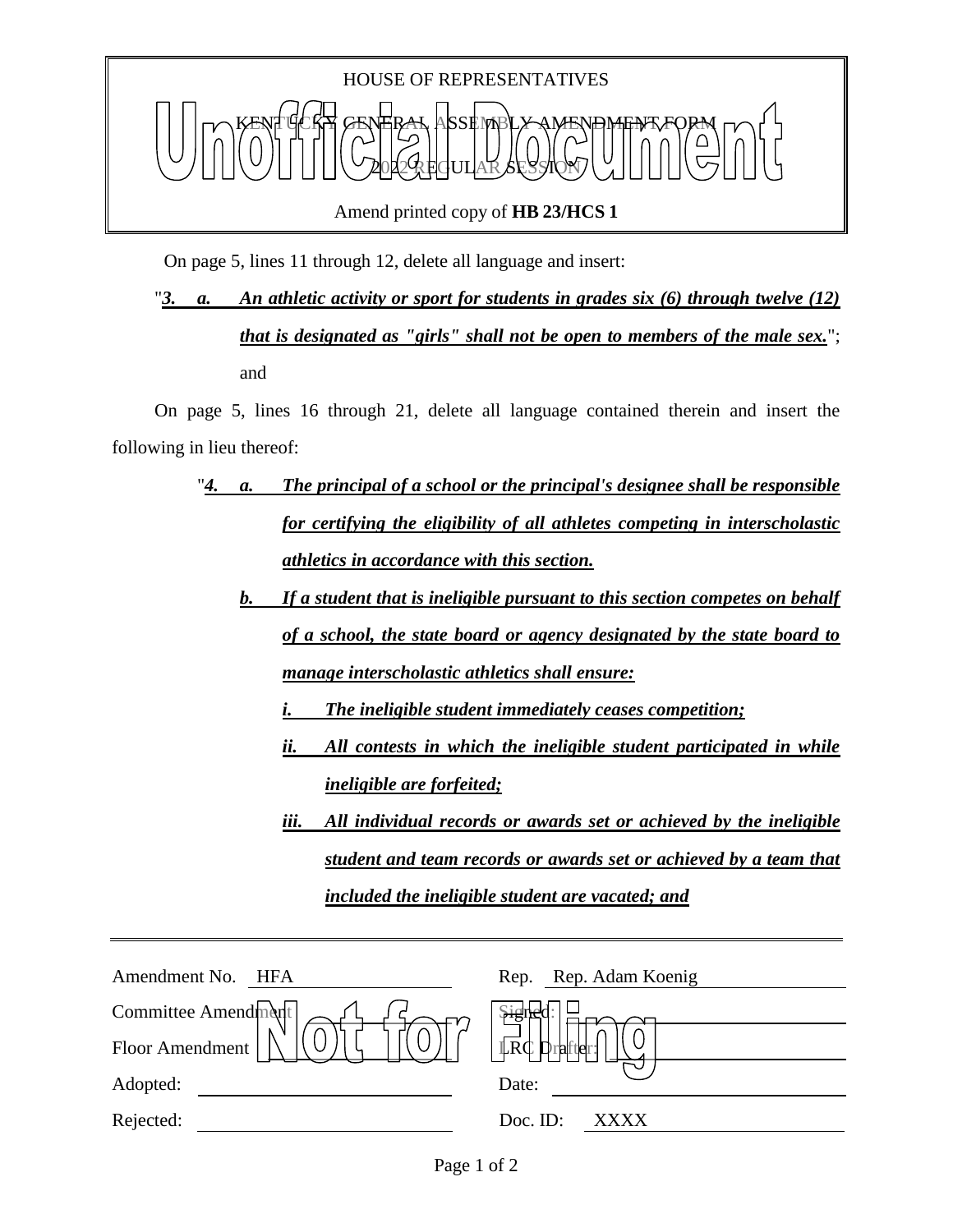

Amend printed copy of **HB 23/HCS 1**

On page 5, lines 11 through 12, delete all language and insert:

## "*3. a. An athletic activity or sport for students in grades six (6) through twelve (12) that is designated as "girls" shall not be open to members of the male sex.*"; and

On page 5, lines 16 through 21, delete all language contained therein and insert the following in lieu thereof:

- "*4. a. The principal of a school or the principal's designee shall be responsible for certifying the eligibility of all athletes competing in interscholastic athletics in accordance with this section.* 
	- *<i><u>If a student that is ineligible pursuant to this section competes on behalf*</u> *of a school, the state board or agency designated by the state board to manage interscholastic athletics shall ensure:* 
		- *i. The ineligible student immediately ceases competition;*
		- *ii. All contests in which the ineligible student participated in while ineligible are forfeited;*
		- *iii. All individual records or awards set or achieved by the ineligible student and team records or awards set or achieved by a team that included the ineligible student are vacated; and*

| Amendment No.<br>HFA | Rep. Rep. Adam Koenig |
|----------------------|-----------------------|
| Committee Amendment  | \$ignek               |
| Floor Amendment      | <b>IRC</b><br>ralfter |
| Adopted:             | Date:                 |
| Rejected:            | Doc. ID:<br>XXXX      |
|                      |                       |